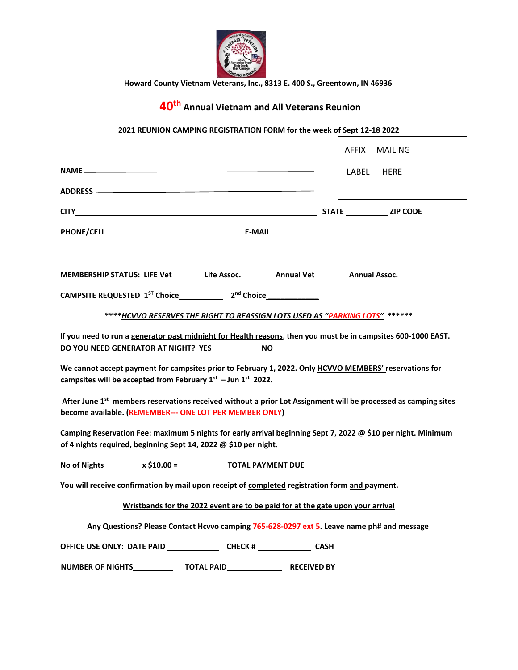

**Howard County Vietnam Veterans, Inc., 8313 E. 400 S., Greentown, IN 46936** 

## **40th Annual Vietnam and All Veterans Reunion**

## **2021 REUNION CAMPING REGISTRATION FORM for the week of Sept 12-18 2022**

 $\overline{\phantom{a}}$ 

|                                                                                                                                                                                  | <b>AFFIX</b><br><b>MAILING</b> |
|----------------------------------------------------------------------------------------------------------------------------------------------------------------------------------|--------------------------------|
|                                                                                                                                                                                  | LABEL<br><b>HERE</b>           |
|                                                                                                                                                                                  |                                |
|                                                                                                                                                                                  | STATE ZIP CODE                 |
| <b>PHONE/CELL Example 2008</b><br>E-MAIL                                                                                                                                         |                                |
|                                                                                                                                                                                  |                                |
| MEMBERSHIP STATUS: LIFE Vet________ Life Assoc._________ Annual Vet ________ Annual Assoc.                                                                                       |                                |
|                                                                                                                                                                                  |                                |
| **** HCVVO RESERVES THE RIGHT TO REASSIGN LOTS USED AS "PARKING LOTS" ******                                                                                                     |                                |
| If you need to run a generator past midnight for Health reasons, then you must be in campsites 600-1000 EAST.                                                                    |                                |
| DO YOU NEED GENERATOR AT NIGHT? YES<br>NQ                                                                                                                                        |                                |
| We cannot accept payment for campsites prior to February 1, 2022. Only HCVVO MEMBERS' reservations for<br>campsites will be accepted from February $1^{st}$ – Jun $1^{st}$ 2022. |                                |
| After June 1st members reservations received without a prior Lot Assignment will be processed as camping sites<br>become available. (REMEMBER--- ONE LOT PER MEMBER ONLY)        |                                |
| Camping Reservation Fee: maximum 5 nights for early arrival beginning Sept 7, 2022 @ \$10 per night. Minimum<br>of 4 nights required, beginning Sept 14, 2022 @ \$10 per night.  |                                |
| No of Nights _________ x \$10.00 = ______________ TOTAL PAYMENT DUE                                                                                                              |                                |
| You will receive confirmation by mail upon receipt of completed registration form and payment.                                                                                   |                                |
| Wristbands for the 2022 event are to be paid for at the gate upon your arrival                                                                                                   |                                |
| Any Questions? Please Contact Hcvvo camping 765-628-0297 ext 5. Leave name ph# and message                                                                                       |                                |
| OFFICE USE ONLY: DATE PAID CHECK # CHECK # CASH                                                                                                                                  |                                |
| <b>NUMBER OF NIGHTS</b><br><b>TOTAL PAID</b><br><b>RECEIVED BY</b>                                                                                                               |                                |